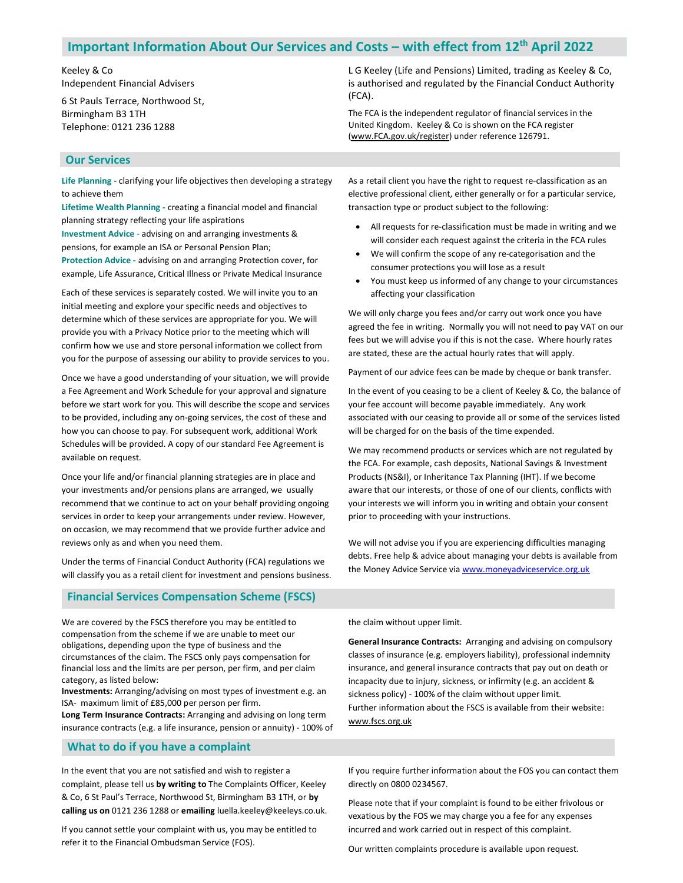# Important Information About Our Services and Costs – with effect from 12th April 2022

Keeley & Co Independent Financial Advisers

6 St Pauls Terrace, Northwood St, Birmingham B3 1TH Telephone: 0121 236 1288

L G Keeley (Life and Pensions) Limited, trading as Keeley & Co, is authorised and regulated by the Financial Conduct Authority (FCA).

The FCA is the independent regulator of financial services in the United Kingdom. Keeley & Co is shown on the FCA register (www.FCA.gov.uk/register) under reference 126791.

# Our Services

Life Planning - clarifying your life objectives then developing a strategy to achieve them

Lifetime Wealth Planning - creating a financial model and financial planning strategy reflecting your life aspirations Investment Advice - advising on and arranging investments & pensions, for example an ISA or Personal Pension Plan;

Protection Advice - advising on and arranging Protection cover, for example, Life Assurance, Critical Illness or Private Medical Insurance

Each of these services is separately costed. We will invite you to an initial meeting and explore your specific needs and objectives to determine which of these services are appropriate for you. We will provide you with a Privacy Notice prior to the meeting which will confirm how we use and store personal information we collect from you for the purpose of assessing our ability to provide services to you.

Once we have a good understanding of your situation, we will provide a Fee Agreement and Work Schedule for your approval and signature before we start work for you. This will describe the scope and services to be provided, including any on-going services, the cost of these and how you can choose to pay. For subsequent work, additional Work Schedules will be provided. A copy of our standard Fee Agreement is available on request.

Once your life and/or financial planning strategies are in place and your investments and/or pensions plans are arranged, we usually recommend that we continue to act on your behalf providing ongoing services in order to keep your arrangements under review. However, on occasion, we may recommend that we provide further advice and reviews only as and when you need them.

Under the terms of Financial Conduct Authority (FCA) regulations we will classify you as a retail client for investment and pensions business.

Financial Services Compensation Scheme (FSCS)

We are covered by the FSCS therefore you may be entitled to compensation from the scheme if we are unable to meet our obligations, depending upon the type of business and the circumstances of the claim. The FSCS only pays compensation for financial loss and the limits are per person, per firm, and per claim category, as listed below:

Investments: Arranging/advising on most types of investment e.g. an ISA- maximum limit of £85,000 per person per firm.

Long Term Insurance Contracts: Arranging and advising on long term insurance contracts (e.g. a life insurance, pension or annuity) - 100% of

### What to do if you have a complaint

In the event that you are not satisfied and wish to register a complaint, please tell us by writing to The Complaints Officer, Keeley & Co, 6 St Paul's Terrace, Northwood St, Birmingham B3 1TH, or by calling us on 0121 236 1288 or emailing luella.keeley@keeleys.co.uk.

If you cannot settle your complaint with us, you may be entitled to refer it to the Financial Ombudsman Service (FOS).

As a retail client you have the right to request re-classification as an elective professional client, either generally or for a particular service, transaction type or product subject to the following:

- All requests for re-classification must be made in writing and we will consider each request against the criteria in the FCA rules
- We will confirm the scope of any re-categorisation and the consumer protections you will lose as a result
- You must keep us informed of any change to your circumstances affecting your classification

We will only charge you fees and/or carry out work once you have agreed the fee in writing. Normally you will not need to pay VAT on our fees but we will advise you if this is not the case. Where hourly rates are stated, these are the actual hourly rates that will apply.

Payment of our advice fees can be made by cheque or bank transfer.

In the event of you ceasing to be a client of Keeley & Co, the balance of your fee account will become payable immediately. Any work associated with our ceasing to provide all or some of the services listed will be charged for on the basis of the time expended.

We may recommend products or services which are not regulated by the FCA. For example, cash deposits, National Savings & Investment Products (NS&I), or Inheritance Tax Planning (IHT). If we become aware that our interests, or those of one of our clients, conflicts with your interests we will inform you in writing and obtain your consent prior to proceeding with your instructions.

We will not advise you if you are experiencing difficulties managing debts. Free help & advice about managing your debts is available from the Money Advice Service via www.moneyadviceservice.org.uk

the claim without upper limit.

General Insurance Contracts: Arranging and advising on compulsory classes of insurance (e.g. employers liability), professional indemnity insurance, and general insurance contracts that pay out on death or incapacity due to injury, sickness, or infirmity (e.g. an accident & sickness policy) - 100% of the claim without upper limit. Further information about the FSCS is available from their website: www.fscs.org.uk

If you require further information about the FOS you can contact them directly on 0800 0234567.

Please note that if your complaint is found to be either frivolous or vexatious by the FOS we may charge you a fee for any expenses incurred and work carried out in respect of this complaint.

Our written complaints procedure is available upon request.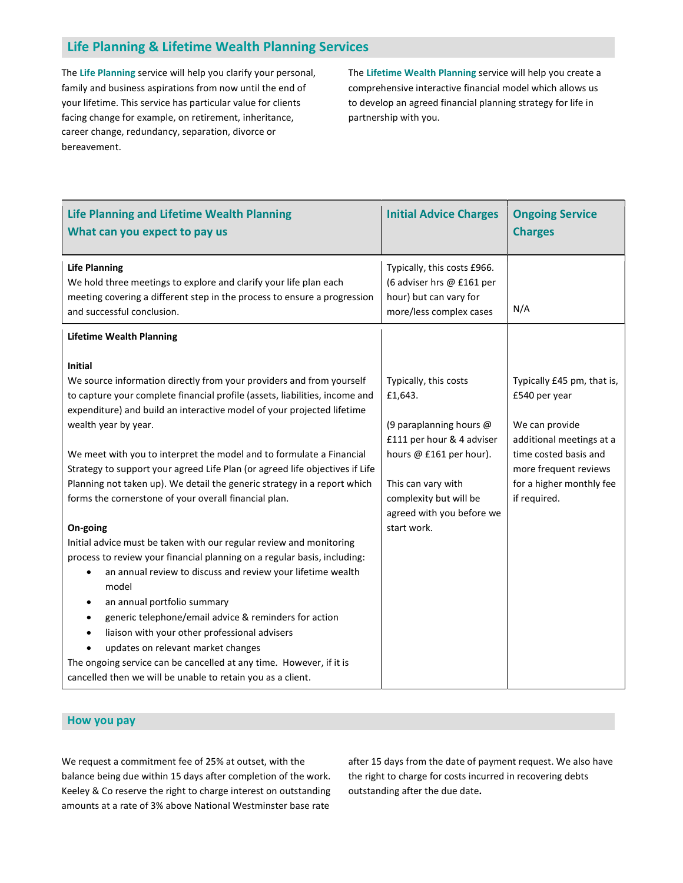# Life Planning & Lifetime Wealth Planning Services

The Life Planning service will help you clarify your personal, family and business aspirations from now until the end of your lifetime. This service has particular value for clients facing change for example, on retirement, inheritance, career change, redundancy, separation, divorce or bereavement.

The Lifetime Wealth Planning service will help you create a comprehensive interactive financial model which allows us to develop an agreed financial planning strategy for life in partnership with you.

| <b>Initial Advice Charges</b>                                                                                                                                                                                   | <b>Ongoing Service</b><br><b>Charges</b>                                                                                                                                                |
|-----------------------------------------------------------------------------------------------------------------------------------------------------------------------------------------------------------------|-----------------------------------------------------------------------------------------------------------------------------------------------------------------------------------------|
| Typically, this costs £966.<br>(6 adviser hrs @ £161 per<br>hour) but can vary for<br>more/less complex cases                                                                                                   | N/A                                                                                                                                                                                     |
|                                                                                                                                                                                                                 |                                                                                                                                                                                         |
| Typically, this costs<br>£1,643.<br>(9 paraplanning hours @<br>£111 per hour & 4 adviser<br>hours @ £161 per hour).<br>This can vary with<br>complexity but will be<br>agreed with you before we<br>start work. | Typically £45 pm, that is,<br>£540 per year<br>We can provide<br>additional meetings at a<br>time costed basis and<br>more frequent reviews<br>for a higher monthly fee<br>if required. |
|                                                                                                                                                                                                                 |                                                                                                                                                                                         |
|                                                                                                                                                                                                                 |                                                                                                                                                                                         |

#### How you pay

We request a commitment fee of 25% at outset, with the balance being due within 15 days after completion of the work. Keeley & Co reserve the right to charge interest on outstanding amounts at a rate of 3% above National Westminster base rate

after 15 days from the date of payment request. We also have the right to charge for costs incurred in recovering debts outstanding after the due date.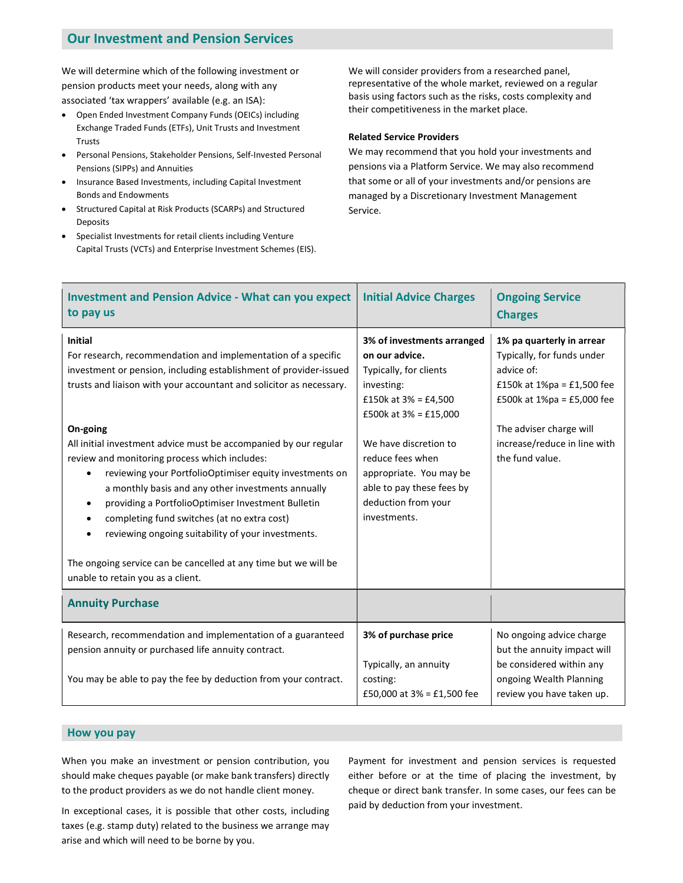# Our Investment and Pension Services

We will determine which of the following investment or pension products meet your needs, along with any associated 'tax wrappers' available (e.g. an ISA):

- Open Ended Investment Company Funds (OEICs) including Exchange Traded Funds (ETFs), Unit Trusts and Investment Trusts
- Personal Pensions, Stakeholder Pensions, Self-Invested Personal Pensions (SIPPs) and Annuities
- Insurance Based Investments, including Capital Investment Bonds and Endowments
- Structured Capital at Risk Products (SCARPs) and Structured Deposits
- Specialist Investments for retail clients including Venture Capital Trusts (VCTs) and Enterprise Investment Schemes (EIS).

We will consider providers from a researched panel, representative of the whole market, reviewed on a regular basis using factors such as the risks, costs complexity and their competitiveness in the market place.

#### Related Service Providers

We may recommend that you hold your investments and pensions via a Platform Service. We may also recommend that some or all of your investments and/or pensions are managed by a Discretionary Investment Management Service.

| <b>Investment and Pension Advice - What can you expect</b><br>to pay us                                                                                                                                                                                                                                                                                                                                                                                                                                                                                                                                                                                                                                                                                                                 | <b>Initial Advice Charges</b>                                                                                                                                                                                                                                                           | <b>Ongoing Service</b><br><b>Charges</b>                                                                                                                                                                           |
|-----------------------------------------------------------------------------------------------------------------------------------------------------------------------------------------------------------------------------------------------------------------------------------------------------------------------------------------------------------------------------------------------------------------------------------------------------------------------------------------------------------------------------------------------------------------------------------------------------------------------------------------------------------------------------------------------------------------------------------------------------------------------------------------|-----------------------------------------------------------------------------------------------------------------------------------------------------------------------------------------------------------------------------------------------------------------------------------------|--------------------------------------------------------------------------------------------------------------------------------------------------------------------------------------------------------------------|
| <b>Initial</b><br>For research, recommendation and implementation of a specific<br>investment or pension, including establishment of provider-issued<br>trusts and liaison with your accountant and solicitor as necessary.<br>On-going<br>All initial investment advice must be accompanied by our regular<br>review and monitoring process which includes:<br>reviewing your PortfolioOptimiser equity investments on<br>$\bullet$<br>a monthly basis and any other investments annually<br>providing a PortfolioOptimiser Investment Bulletin<br>$\bullet$<br>completing fund switches (at no extra cost)<br>$\bullet$<br>reviewing ongoing suitability of your investments.<br>The ongoing service can be cancelled at any time but we will be<br>unable to retain you as a client. | 3% of investments arranged<br>on our advice.<br>Typically, for clients<br>investing:<br>£150k at $3\% = £4,500$<br>£500k at $3\% =$ £15,000<br>We have discretion to<br>reduce fees when<br>appropriate. You may be<br>able to pay these fees by<br>deduction from your<br>investments. | 1% pa quarterly in arrear<br>Typically, for funds under<br>advice of:<br>£150k at 1%pa = £1,500 fee<br>£500 $k$ at 1%pa = £5,000 fee<br>The adviser charge will<br>increase/reduce in line with<br>the fund value. |
| <b>Annuity Purchase</b>                                                                                                                                                                                                                                                                                                                                                                                                                                                                                                                                                                                                                                                                                                                                                                 |                                                                                                                                                                                                                                                                                         |                                                                                                                                                                                                                    |
| Research, recommendation and implementation of a guaranteed<br>pension annuity or purchased life annuity contract.<br>You may be able to pay the fee by deduction from your contract.                                                                                                                                                                                                                                                                                                                                                                                                                                                                                                                                                                                                   | 3% of purchase price<br>Typically, an annuity<br>costing:<br>£50,000 at $3\% = £1,500$ fee                                                                                                                                                                                              | No ongoing advice charge<br>but the annuity impact will<br>be considered within any<br>ongoing Wealth Planning<br>review you have taken up.                                                                        |

# How you pay

When you make an investment or pension contribution, you should make cheques payable (or make bank transfers) directly to the product providers as we do not handle client money.

In exceptional cases, it is possible that other costs, including taxes (e.g. stamp duty) related to the business we arrange may arise and which will need to be borne by you.

Payment for investment and pension services is requested either before or at the time of placing the investment, by cheque or direct bank transfer. In some cases, our fees can be paid by deduction from your investment.